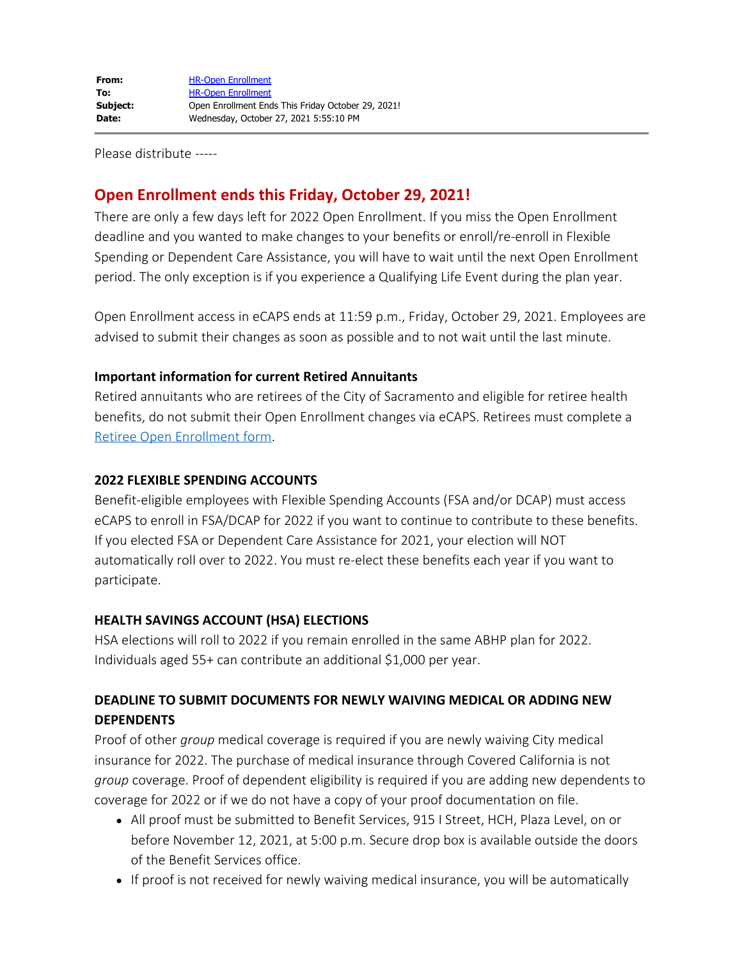Please distribute -----

# **Open Enrollment ends this Friday, October 29, 2021!**

There are only a few days left for 2022 Open Enrollment. If you miss the Open Enrollment deadline and you wanted to make changes to your benefits or enroll/re-enroll in Flexible Spending or Dependent Care Assistance, you will have to wait until the next Open Enrollment period. The only exception is if you experience a Qualifying Life Event during the plan year.

Open Enrollment access in eCAPS ends at 11:59 p.m., Friday, October 29, 2021. Employees are advised to submit their changes as soon as possible and to not wait until the last minute.

#### **Important information for current Retired Annuitants**

Retired annuitants who are retirees of the City of Sacramento and eligible for retiree health benefits, do not submit their Open Enrollment changes via eCAPS. Retirees must complete a [Retiree Open Enrollment form](https://www.cityofsacramento.org/HR/Divisions/Benefits-Retirement/Retirement).

### **2022 FLEXIBLE SPENDING ACCOUNTS**

Benefit-eligible employees with Flexible Spending Accounts (FSA and/or DCAP) must access eCAPS to enroll in FSA/DCAP for 2022 if you want to continue to contribute to these benefits. If you elected FSA or Dependent Care Assistance for 2021, your election will NOT automatically roll over to 2022. You must re-elect these benefits each year if you want to participate.

## **HEALTH SAVINGS ACCOUNT (HSA) ELECTIONS**

HSA elections will roll to 2022 if you remain enrolled in the same ABHP plan for 2022. Individuals aged 55+ can contribute an additional \$1,000 per year.

# **DEADLINE TO SUBMIT DOCUMENTS FOR NEWLY WAIVING MEDICAL OR ADDING NEW DEPENDENTS**

Proof of other *group* medical coverage is required if you are newly waiving City medical insurance for 2022. The purchase of medical insurance through Covered California is not *group* coverage. Proof of dependent eligibility is required if you are adding new dependents to coverage for 2022 or if we do not have a copy of your proof documentation on file.

- All proof must be submitted to Benefit Services, 915 I Street, HCH, Plaza Level, on or before November 12, 2021, at 5:00 p.m. Secure drop box is available outside the doors of the Benefit Services office.
- If proof is not received for newly waiving medical insurance, you will be automatically